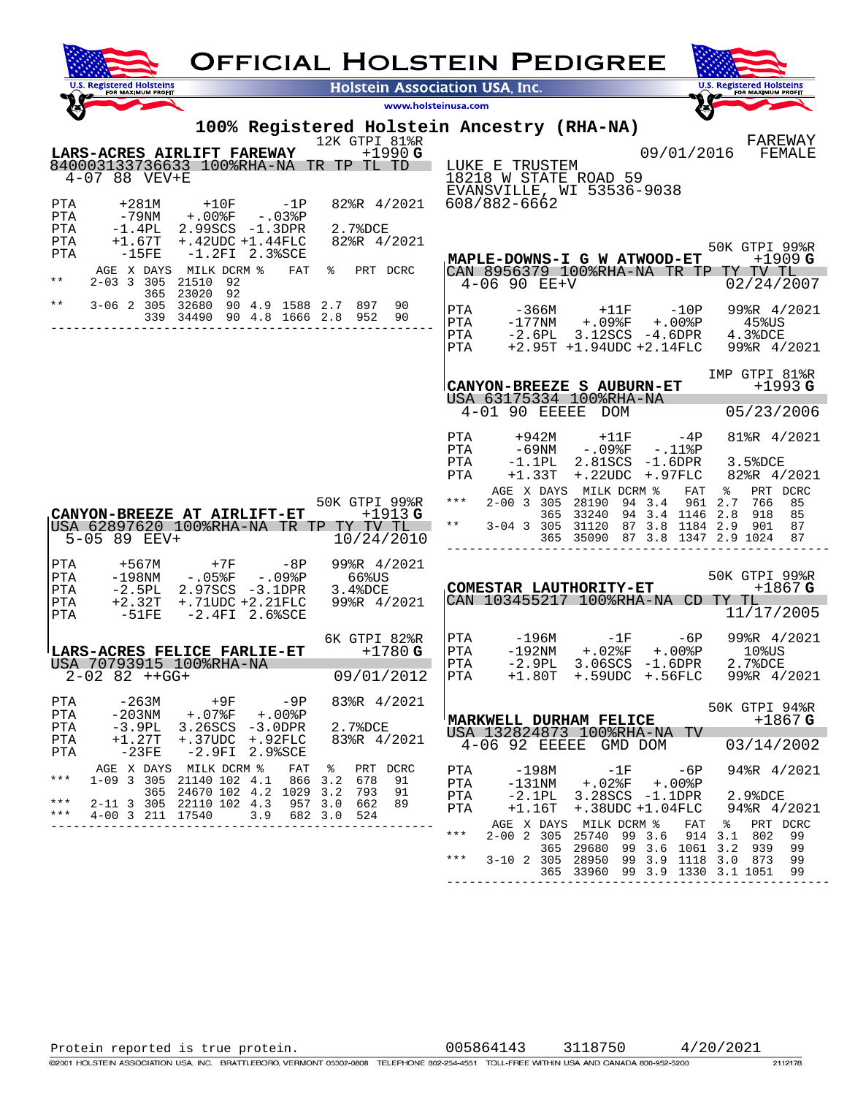| <b>OFFICIAL HOLSTEIN PEDIGREE</b>                                                                                                                                                                                                            |                                                                                                                                                                                                                                                        |  |  |  |  |
|----------------------------------------------------------------------------------------------------------------------------------------------------------------------------------------------------------------------------------------------|--------------------------------------------------------------------------------------------------------------------------------------------------------------------------------------------------------------------------------------------------------|--|--|--|--|
| <b>U.S. Registered Holsteins</b><br><b>Holstein Association USA, Inc.</b><br>FOR MAXIMUM PROFIT                                                                                                                                              | <b>U.S. Registered Holsteins</b><br>FOR MAXIMUM PROFIT                                                                                                                                                                                                 |  |  |  |  |
| www.holsteinusa.com                                                                                                                                                                                                                          |                                                                                                                                                                                                                                                        |  |  |  |  |
| 100% Registered Holstein Ancestry (RHA-NA)<br>12K GTPI 81%R<br>LARS-ACRES AIRLIFT FAREWAY<br>$+1990$ G                                                                                                                                       | FAREWAY<br>09/01/2016<br>FEMALE                                                                                                                                                                                                                        |  |  |  |  |
| 840003133736633 100%RHA-NA TR TP TL TD<br>$4 - 07$ 88 VEV+E                                                                                                                                                                                  | LUKE E TRUSTEM<br>18218 W STATE ROAD 59<br>EVANSVILLE, WI 53536-9038                                                                                                                                                                                   |  |  |  |  |
| $+281M$<br>82%R 4/2021<br>PTA<br>$+10F$ $-1P$<br>$+.00$ % $F$<br>PTA<br>-79NM<br>-.03%P<br>$-1.4PL$<br>2.99SCS -1.3DPR<br>PTA<br>2.7%DCE                                                                                                     | 608/882-6662                                                                                                                                                                                                                                           |  |  |  |  |
| $+1.67T$<br>$+, 42$ UDC $+1.44$ FLC<br>82%R 4/2021<br>PTA<br>$-15FE$<br>$-1.2$ FI $2.3$ %SCE<br>PTA<br>AGE X DAYS MILK DCRM %<br>FAT<br>$\frac{1}{6}$<br>PRT DCRC                                                                            | 50K GTPI 99%R<br>MAPLE-DOWNS-I G W ATWOOD-ET<br>$+1909$ G<br>CAN 8956379 100%RHA-NA TR TP TY TV TL                                                                                                                                                     |  |  |  |  |
| $***$<br>2-03 3 305 21510<br>92<br>365 23020<br>92<br>$\star \star$<br>3-06 2 305 32680 90 4.9 1588 2.7 897<br>90                                                                                                                            | $4 - 06$ 90 EE+V<br>02/24/2007                                                                                                                                                                                                                         |  |  |  |  |
| 339 34490 90 4.8 1666 2.8 952<br>90                                                                                                                                                                                                          | PTA<br>$-10P$<br>99%R 4/2021<br>-366М<br>$+11F$<br>PTA<br>$-177$ NM<br>+.09%F +.00%P 45%US<br>PTA<br>$-2.6PL$<br>3.12SCS -4.6DPR<br>4.3%DCE<br>$+2.95T +1.94UDC +2.14FLC$<br>99%R 4/2021<br>PTA                                                        |  |  |  |  |
|                                                                                                                                                                                                                                              | IMP GTPI 81%R<br>CANYON-BREEZE S AUBURN-ET<br>$+1993G$<br>USA 63175334 100%RHA-NA                                                                                                                                                                      |  |  |  |  |
|                                                                                                                                                                                                                                              | $4-01$ 90 EEEEE DOM<br>05/23/2006                                                                                                                                                                                                                      |  |  |  |  |
|                                                                                                                                                                                                                                              | PTA<br>$+11F$ $-4P$<br>81%R 4/2021<br>+942M<br>PTA<br>–69NM<br>$-.09$ <sup>8</sup> F $-.11$ <sup>8</sup> P<br>PTA<br>$-1.1$ PL<br>2.81SCS -1.6DPR<br>3.5%DCE<br>$+.22UDC$<br>82%R 4/2021<br>PTA<br>$+1.33T$<br>+.97FLC                                 |  |  |  |  |
| 50K GTPI 99%R<br>$+1913$ G<br>CANYON-BREEZE AT AIRLIFT-ET<br>USA 62897620 100%RHA-NA TR TP TY TV TL<br>10/24/2010<br>5-05 89 EEV+                                                                                                            | PRT DCRC<br>AGE X DAYS MILK DCRM %<br>FAT<br>ႜ<br>2-00 3 305 28190 94 3.4<br>961 2.7<br>766<br>$***$<br>85<br>365 33240 94 3.4 1146 2.8<br>918<br>85<br>$***$<br>3-04 3 305 31120 87 3.8 1184 2.9<br>901<br>87<br>365 35090 87 3.8 1347 2.9 1024<br>87 |  |  |  |  |
| PTA<br>99%R 4/2021<br>+567M<br>+7F<br>–8P<br>$-198$ NM<br>-.05%F -.09%P<br>66%US<br>PTA<br>$-2.5PL$<br>2.97SCS -3.1DPR<br>3.4%DCE<br>PTA<br>$+.71$ UDC $+2.21$ FLC<br>99%R 4/2021<br>PTA<br>$+2.32T$<br>$-2.4$ FI $2.6$ %SCE<br>-51FE<br>PTA | 50K GTPI 99%R<br>COMESTAR LAUTHORITY-ET<br>+1867 G<br>CAN 103455217 100%RHA-NA CD TY TL<br>11/17/2005                                                                                                                                                  |  |  |  |  |
| 6K GTPI 82%R<br>LARS-ACRES FELICE FARLIE-ET<br>$+1780G$<br>USA 70793915 100%RHA-NA<br>09/01/2012<br>$2 - 02$ 82 $++GG+$                                                                                                                      | PTA<br>-196M<br>$-6P$<br>99%R 4/2021<br>$-1F$<br>PTA<br>$-192$ NM<br>+.02%F<br>$+.00$ % $P$<br>$10$ $8$ US<br>PTA -2.9PL 3.06SCS -1.6DPR 2.7%DCE<br>PTA +1.80T +.59UDC +.56FLC 99%R 4/<br>99%R 4/2021                                                  |  |  |  |  |
| PTA<br>-263M<br>83%R 4/2021<br>+9F -9P<br>$-203$ NM<br>+.07%F +.00%P<br>PTA<br>2.7%DCE<br>PTA<br>$-3.9PL$<br>3.26SCS -3.0DPR<br>$+1.27T$<br>PTA<br>$+.37UDC + .92FLC$<br>83%R 4/2021<br>$-2.9$ FI $2.9$ %SCE<br>PTA<br>-23FE                 | 50K GTPI 94%R<br>MARKWELL DURHAM FELICE<br>$+1867$ G<br>USA 132824873 100%RHA-NA TV<br>4-06 92 EEEEE GMD DOM<br>03/14/2002                                                                                                                             |  |  |  |  |
| AGE X DAYS MILK DCRM %<br>FAT<br>$\epsilon$<br>PRT DCRC<br>***<br>1-09 3 305 21140 102 4.1<br>866 3.2 678<br>91<br>365 24670 102 4.2 1029 3.2 793 91<br>*** 2-11 3 305 22110 102 4.3 957 3.0 662 89                                          | PTA<br>-198M<br>$-6P$<br>94%R 4/2021<br>$-1F$<br>PTA<br>$-131$ NM<br>+.02%F +.00%P<br>PTA<br>$-2.1$ PL<br>3.28SCS -1.1DPR<br>2.9%DCE                                                                                                                   |  |  |  |  |
| * * *<br>4-00 3 211 17540<br>3.9 682 3.0 524<br>---------------------------------                                                                                                                                                            | PTA<br>$+1.16T$<br>+.38UDC +1.04FLC<br>94%R 4/2021<br>AGE X DAYS MILK DCRM %<br>PRT DCRC<br>FAT<br>$***$<br>2-00 2 305 25740 99 3.6 914 3.1 802<br>99<br>365 29680 99 3.6 1061 3.2<br>939<br>99<br>$***$<br>3-10 2 305 28950 99 3.9 1118 3.0 873<br>99 |  |  |  |  |
|                                                                                                                                                                                                                                              | 365 33960 99 3.9 1330 3.1 1051<br>99                                                                                                                                                                                                                   |  |  |  |  |

Protein reported is true protein. 005864143 3118750 4/20/2021

2112178